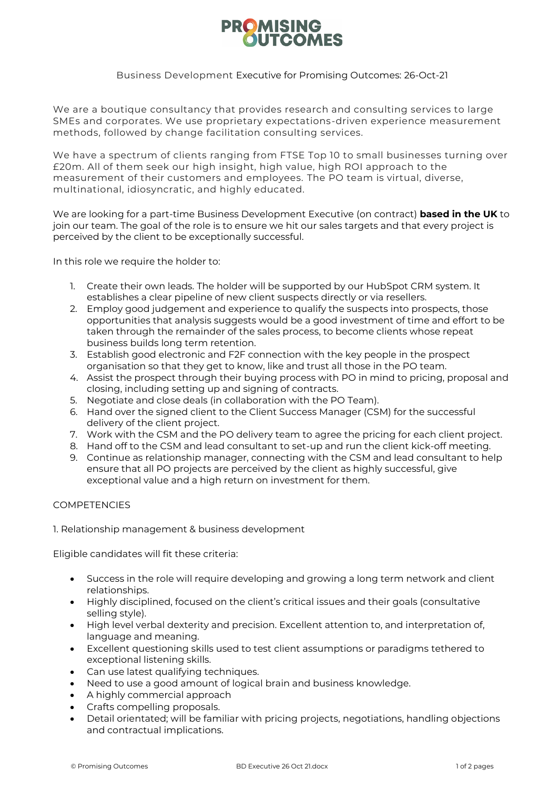# **PROMISING OUTCOMES**

## Business Development Executive for Promising Outcomes: 26-Oct-21

We are a boutique consultancy that provides research and consulting services to large SMEs and corporates. We use proprietary expectations-driven experience measurement methods, followed by change facilitation consulting services.

We have a spectrum of clients ranging from FTSE Top 10 to small businesses turning over £20m. All of them seek our high insight, high value, high ROI approach to the measurement of their customers and employees. The PO team is virtual, diverse, multinational, idiosyncratic, and highly educated.

We are looking for a part-time Business Development Executive (on contract) **based in the UK** to join our team. The goal of the role is to ensure we hit our sales targets and that every project is perceived by the client to be exceptionally successful.

In this role we require the holder to:

- 1. Create their own leads. The holder will be supported by our HubSpot CRM system. It establishes a clear pipeline of new client suspects directly or via resellers.
- 2. Employ good judgement and experience to qualify the suspects into prospects, those opportunities that analysis suggests would be a good investment of time and effort to be taken through the remainder of the sales process, to become clients whose repeat business builds long term retention.
- 3. Establish good electronic and F2F connection with the key people in the prospect organisation so that they get to know, like and trust all those in the PO team.
- 4. Assist the prospect through their buying process with PO in mind to pricing, proposal and closing, including setting up and signing of contracts.
- 5. Negotiate and close deals (in collaboration with the PO Team).
- 6. Hand over the signed client to the Client Success Manager (CSM) for the successful delivery of the client project.
- 7. Work with the CSM and the PO delivery team to agree the pricing for each client project.
- 8. Hand off to the CSM and lead consultant to set-up and run the client kick-off meeting.
- 9. Continue as relationship manager, connecting with the CSM and lead consultant to help ensure that all PO projects are perceived by the client as highly successful, give exceptional value and a high return on investment for them.

## **COMPETENCIES**

1. Relationship management & business development

Eligible candidates will fit these criteria:

- Success in the role will require developing and growing a long term network and client relationships.
- Highly disciplined, focused on the client's critical issues and their goals (consultative selling style).
- High level verbal dexterity and precision. Excellent attention to, and interpretation of, language and meaning.
- Excellent questioning skills used to test client assumptions or paradigms tethered to exceptional listening skills.
- Can use latest qualifying techniques.
- Need to use a good amount of logical brain and business knowledge.
- A highly commercial approach
- Crafts compelling proposals.
- Detail orientated; will be familiar with pricing projects, negotiations, handling objections and contractual implications.